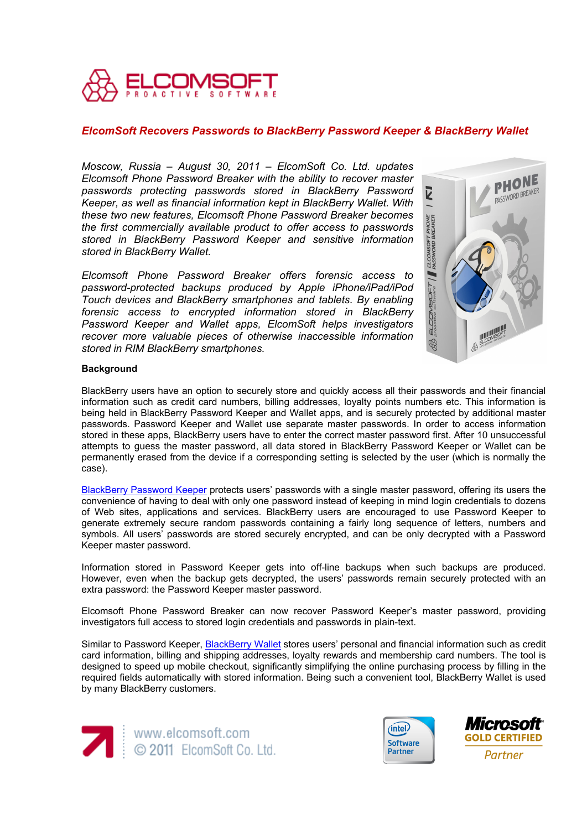

# *ElcomSoft Recovers Passwords to BlackBerry Password Keeper & BlackBerry Wallet*

*Moscow, Russia – August 30, 2011 – ElcomSoft Co. Ltd. updates Elcomsoft Phone Password Breaker with the ability to recover master passwords protecting passwords stored in BlackBerry Password Keeper, as well as financial information kept in BlackBerry Wallet. With these two new features, Elcomsoft Phone Password Breaker becomes the first commercially available product to offer access to passwords stored in BlackBerry Password Keeper and sensitive information stored in BlackBerry Wallet.* 

*Elcomsoft Phone Password Breaker offers forensic access to password-protected backups produced by Apple iPhone/iPad/iPod Touch devices and BlackBerry smartphones and tablets. By enabling forensic access to encrypted information stored in BlackBerry Password Keeper and Wallet apps, ElcomSoft helps investigators recover more valuable pieces of otherwise inaccessible information stored in RIM BlackBerry smartphones.* 



## **Background**

BlackBerry users have an option to securely store and quickly access all their passwords and their financial information such as credit card numbers, billing addresses, loyalty points numbers etc. This information is being held in BlackBerry Password Keeper and Wallet apps, and is securely protected by additional master passwords. Password Keeper and Wallet use separate master passwords. In order to access information stored in these apps, BlackBerry users have to enter the correct master password first. After 10 unsuccessful attempts to guess the master password, all data stored in BlackBerry Password Keeper or Wallet can be permanently erased from the device if a corresponding setting is selected by the user (which is normally the case).

[BlackBerry Password Keeper](http://helpblog.blackberry.com/2011/04/blackberry-password-keeper/) protects users' passwords with a single master password, offering its users the convenience of having to deal with only one password instead of keeping in mind login credentials to dozens of Web sites, applications and services. BlackBerry users are encouraged to use Password Keeper to generate extremely secure random passwords containing a fairly long sequence of letters, numbers and symbols. All users' passwords are stored securely encrypted, and can be only decrypted with a Password Keeper master password.

Information stored in Password Keeper gets into off-line backups when such backups are produced. However, even when the backup gets decrypted, the users' passwords remain securely protected with an extra password: the Password Keeper master password.

Elcomsoft Phone Password Breaker can now recover Password Keeper's master password, providing investigators full access to stored login credentials and passwords in plain-text.

Similar to Password Keeper, [BlackBerry Wallet](http://us.blackberry.com/smartphones/features/browser/wallet.jsp) stores users' personal and financial information such as credit card information, billing and shipping addresses, loyalty rewards and membership card numbers. The tool is designed to speed up mobile checkout, significantly simplifying the online purchasing process by filling in the required fields automatically with stored information. Being such a convenient tool, BlackBerry Wallet is used by many BlackBerry customers.